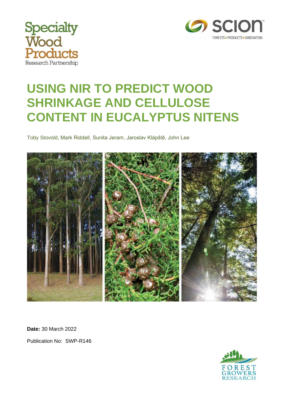



# **USING NIR TO PREDICT WOOD SHRINKAGE AND CELLULOSE CONTENT IN EUCALYPTUS NITENS**

Toby Stovold, Mark Riddell, Sunita Jeram, Jaroslav Klápště, John Lee



**Date:** 30 March 2022 Publication No: SWP-R146

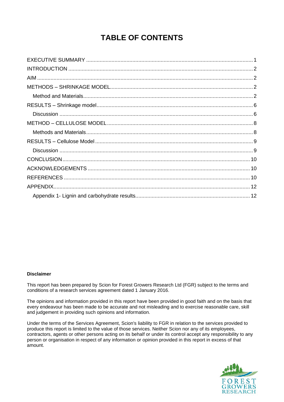### **TABLE OF CONTENTS**

#### **Disclaimer**

This report has been prepared by Scion for Forest Growers Research Ltd (FGR) subject to the terms and conditions of a research services agreement dated 1 January 2016.

The opinions and information provided in this report have been provided in good faith and on the basis that every endeavour has been made to be accurate and not misleading and to exercise reasonable care, skill and judgement in providing such opinions and information.

Under the terms of the Services Agreement, Scion's liability to FGR in relation to the services provided to produce this report is limited to the value of those services. Neither Scion nor any of its employees, contractors, agents or other persons acting on its behalf or under its control accept any responsibility to any person or organisation in respect of any information or opinion provided in this report in excess of that amount.

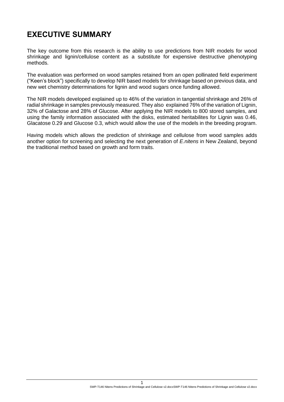### <span id="page-2-0"></span>**EXECUTIVE SUMMARY**

The key outcome from this research is the ability to use predictions from NIR models for wood shrinkage and lignin/cellulose content as a substitute for expensive destructive phenotyping methods.

The evaluation was performed on wood samples retained from an open pollinated field experiment ("Keen's block") specifically to develop NIR based models for shrinkage based on previous data, and new wet chemistry determinations for lignin and wood sugars once funding allowed.

The NIR models developed explained up to 46% of the variation in tangential shrinkage and 26% of radial shrinkage in samples previously measured. They also explained 76% of the variation of Lignin, 32% of Galactose and 28% of Glucose. After applying the NIR models to 800 stored samples, and using the family information associated with the disks, estimated heritabilites for Lignin was 0.46, Glacatose 0.29 and Glucose 0.3, which would allow the use of the models in the breeding program.

Having models which allows the prediction of shrinkage and cellulose from wood samples adds another option for screening and selecting the next generation of *E.nitens* in New Zealand, beyond the traditional method based on growth and form traits.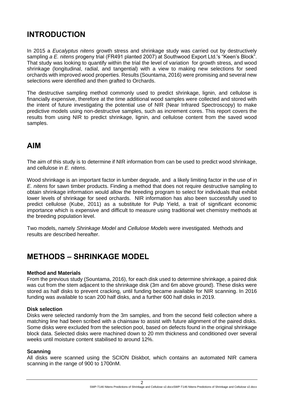### <span id="page-3-0"></span>**INTRODUCTION**

In 2015 a *Eucalyptus nitens* growth stress and shrinkage study was carried out by destructively sampling *a E. nitens* progeny trial (FR491 planted 2007) at Southwood Export Ltd.'s "Keen's Block". That study was looking to quantify within the trial the level of variation for growth stress, and wood shrinkage (longitudinal, radial, and tangential) with a view to making new selections for seed orchards with improved wood properties. Results (Sountama, 2016) were promising and several new selections were identified and then grafted to Orchards.

The destructive sampling method commonly used to predict shrinkage, lignin, and cellulose is financially expensive, therefore at the time additional wood samples were collected and stored with the intent of future investigating the potential use of NIR (Near Infrared Spectroscopy) to make predictive models using non-destructive samples, such as increment cores. This report covers the results from using NIR to predict shrinkage, lignin, and cellulose content from the saved wood samples.

### <span id="page-3-1"></span>**AIM**

The aim of this study is to determine if NIR information from can be used to predict wood shrinkage, and cellulose in *E. nitens*.

Wood shrinkage is an important factor in lumber degrade, and a likely limiting factor in the use of in *E. nitens* for sawn timber products. Finding a method that does not require destructive sampling to obtain shrinkage information would allow the breeding program to select for individuals that exhibit lower levels of shrinkage for seed orchards. NIR information has also been successfully used to predict cellulose (Kube, 2011) as a substitute for Pulp Yield, a trait of significant economic importance which is expensive and difficult to measure using traditional wet chemistry methods at the breeding population level.

Two models, namely *Shrinkage Model* and *Cellulose Models* were investigated. Methods and results are described hereafter.

### <span id="page-3-2"></span>**METHODS – SHRINKAGE MODEL**

#### <span id="page-3-3"></span>**Method and Materials**

From the previous study (Sountama, 2016), for each disk used to determine shrinkage, a paired disk was cut from the stem adjacent to the shrinkage disk (3m and 6m above ground). These disks were stored as half disks to prevent cracking, until funding became available for NIR scanning. In 2016 funding was available to scan 200 half disks, and a further 600 half disks in 2019.

#### **Disk selection**

Disks were selected randomly from the 3m samples, and from the second field collection where a matching line had been scribed with a chainsaw to assist with future alignment of the paired disks. Some disks were excluded from the selection pool, based on defects found in the original shrinkage block data. Selected disks were machined down to 20 mm thickness and conditioned over several weeks until moisture content stabilised to around 12%.

#### **Scanning**

All disks were scanned using the SCION Diskbot, which contains an automated NIR camera scanning in the range of 900 to 1700nM.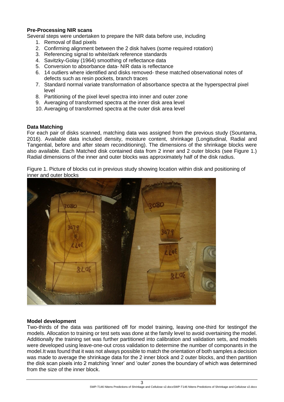#### **Pre-Processing NIR scans**

Several steps were undertaken to prepare the NIR data before use, including

- 1. Removal of Bad pixels
- 2. Confirming alignment between the 2 disk halves (some required rotation)
- 3. Referencing signal to white/dark reference standards
- 4. Savitzky-Golay (1964) smoothing of reflectance data
- 5. Conversion to absorbance data- NIR data is reflectance
- 6. 14 outliers where identified and disks removed- these matched observational notes of defects such as resin pockets, branch traces
- 7. Standard normal variate transformation of absorbance spectra at the hyperspectral pixel level
- 8. Partitioning of the pixel level spectra into inner and outer zone
- 9. Averaging of transformed spectra at the inner disk area level
- 10. Averaging of transformed spectra at the outer disk area level

#### **Data Matching**

For each pair of disks scanned, matching data was assigned from the previous study (Sountama, 2016). Available data included density, moisture content, shrinkage (Longitudinal, Radial and Tangential, before and after steam reconditioning). The dimensions of the shrinkage blocks were also available. Each Matched disk contained data from 2 inner and 2 outer blocks (see Figure 1.) Radial dimensions of the inner and outer blocks was approximately half of the disk radius.

Figure 1. Picture of blocks cut in previous study showing location within disk and positioning of inner and outer blocks



#### **Model development**

Two-thirds of the data was partitioned off for model training, leaving one-third for testingof the models. Allocation to training or test sets was done at the family level to avoid overtaining the model. Additionally the training set was further partitioned into calibration and validation sets, and models were developed using leave-one-out cross validation to determine the number of componants in the model.It was found that it was not always possible to match the orientation of both samples a decision was made to average the shrinkage data for the 2 inner block and 2 outer blocks, and then partition the disk scan pixels into 2 matching 'inner' and 'outer' zones the boundary of which was determined from the size of the inner block.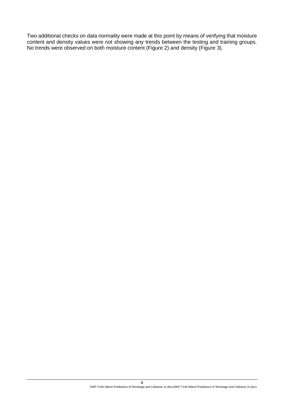Two additional checks on data normality were made at this point by means of verifying that moisture content and density values were not showing any trends between the testing and training groups. No trends were observed on both moisture content (Figure 2) and density (Figure 3).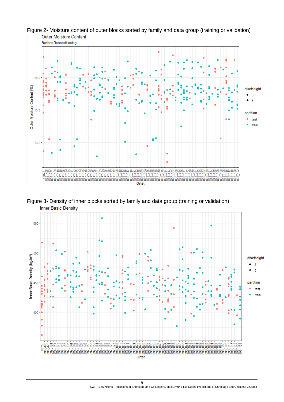

Figure 2- Moisture content of outer blocks sorted by family and data group (training or validation) **Outer Moisture Content** 

Figure 3- Density of inner blocks sorted by family and data group (training or validation)**Inner Basic Density** 

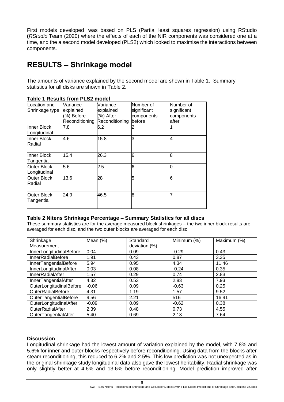First models developed was based on PLS (Partial least squares regression) using RStudio **(***RStudio* Team (2020) where the effects of each of the NIR components was considered one at a time, and the a second model developed (PLS2) which looked to maximise the interactions between components.

### <span id="page-7-0"></span>**RESULTS – Shrinkage model**

The amounts of variance explained by the second model are shown in Table 1. Summary statistics for all disks are shown in Table 2.

| ו טאטוט צפצו וויסווי וויסווי וויסטפו |                |                |             |             |
|--------------------------------------|----------------|----------------|-------------|-------------|
| Location and                         | Variance       | Variance       | Number of   | Number of   |
| Shrinkage type                       | explained      | explained      | significant | significant |
|                                      | (%) Before     | (%) After      | components  | components  |
|                                      | Reconditioning | Reconditioning | before      | after       |
| Inner Block                          | 7.8            | 6.2            |             |             |
| Longitudinal                         |                |                |             |             |
| Inner Block                          | 4.6            | 15.8           | З           | 4           |
| Radial                               |                |                |             |             |
|                                      |                |                |             |             |
| Inner Block                          | 15.4           | 26.3           | 6           | R           |
| Tangential                           |                |                |             |             |
| <b>Outer Block</b>                   | 5.6            | 2.5            | 6           |             |
| Longitudinal                         |                |                |             |             |
| <b>Outer Block</b>                   | 13.6           | 28             | 5           | 6           |
| <b>Radial</b>                        |                |                |             |             |
|                                      |                |                |             |             |
| <b>Outer Block</b>                   | 24.9           | 46.5           | 8           |             |
| Tangential                           |                |                |             |             |
|                                      |                |                |             |             |

#### **Table 1 Results from PLS2 model**

#### **Table 2 Nitens Shrinkage Percentage – Summary Statistics for all discs**

These summary statistics are for the average measured block shrinkages – the two inner block results are averaged for each disc, and the two outer blocks are averaged for each disc

| Shrinkage<br>Measurement | Mean $(\%)$ | Standard<br>deviation (%) | Minimum (%) | Maximum (%) |
|--------------------------|-------------|---------------------------|-------------|-------------|
| InnerLongitudinalBefore  | 0.04        | 0.09                      | $-0.29$     | 0.43        |
| <b>InnerRadialBefore</b> | 1.91        | 0.43                      | 0.87        | 3.35        |
| InnerTangentialBefore    | 5.94        | 0.95                      | 4.34        | 11.46       |
| InnerLongitudinalAfter   | 0.03        | 0.08                      | $-0.24$     | 0.35        |
| <b>InnerRadialAfter</b>  | 1.57        | 0.29                      | 0.74        | 2.83        |
| InnerTangentialAfter     | 4.32        | 0.53                      | 2.83        | 7.93        |
| OuterLongitudinalBefore  | $-0.06$     | 0.09                      | $-0.63$     | 0.25        |
| <b>OuterRadialBefore</b> | 4.31        | 1.19                      | 1.57        | 9.52        |
| OuterTangentialBefore    | 9.56        | 2.21                      | 516         | 16.91       |
| OuterLongitudinalAfter   | $-0.09$     | 0.09                      | $-0.62$     | 0.38        |
| OuterRadialAfter         | 2.39        | 0.48                      | 0.73        | 4.55        |
| OuterTangentialAfter     | 5.40        | 0.69                      | 2.13        | 7.64        |

#### <span id="page-7-1"></span>**Discussion**

Longitudinal shrinkage had the lowest amount of variation explained by the model, with 7.8% and 5.6% for inner and outer blocks respectively before reconditioning. Using data from the blocks after steam reconditioning, this reduced to 6.2% and 2.5%. This low prediction was not unexpected as in the original shrinkage study longitudinal data also gave the lowest heritability. Radial shrinkage was only slightly better at 4.6% and 13.6% before reconditioning. Model prediction improved after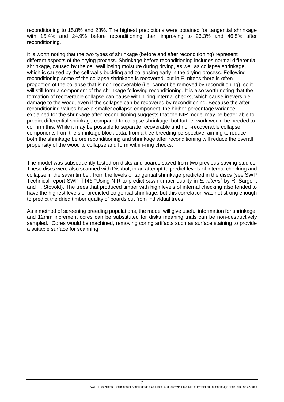reconditioning to 15.8% and 28%. The highest predictions were obtained for tangential shrinkage with 15.4% and 24.9% before reconditioning then improving to 26.3% and 46.5% after reconditioning.

It is worth noting that the two types of shrinkage (before and after reconditioning) represent different aspects of the drying process. Shrinkage before reconditioning includes normal differential shrinkage, caused by the cell wall losing moisture during drying, as well as collapse shrinkage, which is caused by the cell walls buckling and collapsing early in the drying process. Following reconditioning some of the collapse shrinkage is recovered, but in E. nitens there is often proportion of the collapse that is non-recoverable (i.e. cannot be removed by reconditioning), so it will still form a component of the shrinkage following reconditioning. It is also worth noting that the formation of recoverable collapse can cause within-ring internal checks, which cause irreversible damage to the wood, even if the collapse can be recovered by reconditioning. Because the after reconditioning values have a smaller collapse component, the higher percentage variance explained for the shrinkage after reconditioning suggests that the NIR model may be better able to predict differential shrinkage compared to collapse shrinkage, but further work would be needed to confirm this. While it may be possible to separate recoverable and non-recoverable collapse components from the shrinkage block data, from a tree breeding perspective, aiming to reduce both the shrinkage before reconditioning and shrinkage after reconditioning will reduce the overall propensity of the wood to collapse and form within-ring checks.

The model was subsequently tested on disks and boards saved from two previous sawing studies. These discs were also scanned with Diskbot, in an attempt to predict levels of internal checking and collapse in the sawn timber, from the levels of tangential shrinkage predicted in the discs (see SWP Technical report SWP-T145 "Using NIR to predict sawn timber quality in *E. nitens*" by R. Sargent and T. Stovold). The trees that produced timber with high levels of internal checking also tended to have the highest levels of predicted tangential shrinkage, but this correlation was not strong enough to predict the dried timber quality of boards cut from individual trees.

<span id="page-8-0"></span>As a method of screening breeding populations, the model will give useful information for shrinkage, and 12mm increment cores can be substituted for disks meaning trials can be non-destructively sampled. Cores would be machined, removing coring artifacts such as surface staining to provide a suitable surface for scanning.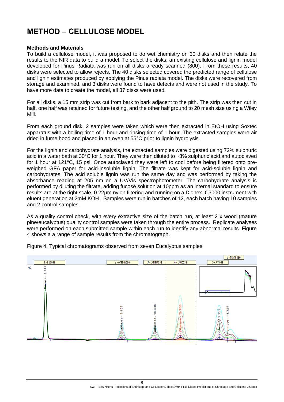### **METHOD – CELLULOSE MODEL**

#### <span id="page-9-0"></span>**Methods and Materials**

To build a cellulose model, it was proposed to do wet chemistry on 30 disks and then relate the results to the NIR data to build a model. To select the disks, an existing cellulose and lignin model developed for Pinus Radiata was run on all disks already scanned (800). From these results, 40 disks were selected to allow rejects. The 40 disks selected covered the predicted range of cellulose and lignin estimates produced by applying the Pinus radiata model. The disks were recovered from storage and examined, and 3 disks were found to have defects and were not used in the study. To have more data to create the model, all 37 disks were used.

For all disks, a 15 mm strip was cut from bark to bark adjacent to the pith. The strip was then cut in half, one half was retained for future testing, and the other half ground to 20 mesh size using a Wiley Mill.

From each ground disk, 2 samples were taken which were then extracted in EtOH using Soxtec apparatus with a boiling time of 1 hour and rinsing time of 1 hour. The extracted samples were air dried in fume hood and placed in an oven at 55°C prior to lignin hydrolysis.

For the lignin and carbohydrate analysis, the extracted samples were digested using 72% sulphuric acid in a water bath at 30°C for 1 hour. They were then diluted to ~3% sulphuric acid and autoclaved for 1 hour at 121°C, 15 psi. Once autoclaved they were left to cool before being filtered onto preweighed GFA paper for acid-insoluble lignin. The filtrate was kept for acid-soluble lignin and carbohydrates. The acid soluble lignin was run the same day and was performed by taking the absorbance reading at 205 nm on a UV/Vis spectrophotometer. The carbohydrate analysis is performed by diluting the filtrate, adding fucose solution at 10ppm as an internal standard to ensure results are at the right scale, 0.22µm nylon filtering and running on a Dionex IC3000 instrument with eluent generation at 2mM KOH. Samples were run in batches of 12, each batch having 10 samples and 2 control samples.

As a quality control check, with every extractive size of the batch run, at least 2 x wood (mature pine/eucalyptus) quality control samples were taken through the entire process. Replicate analyses were performed on each submitted sample within each run to identify any abnormal results. Figure 4 shows a a range of sample results from the chromatograph.



Figure 4. Typical chromatograms observed from seven Eucalyptus samples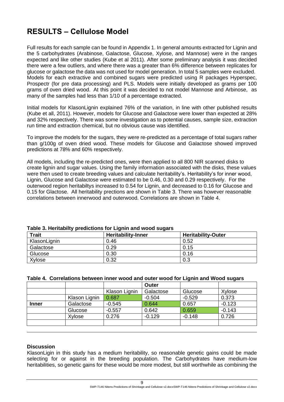### <span id="page-10-0"></span>**RESULTS – Cellulose Model**

Full results for each sample can be found in Appendix 1. In general amounts extracted for Lignin and the 5 carbohydrates (Arabinose, Galactose, Glucose, Xylose, and Mannose) were in the ranges expected and like other studies (Kube et al 2011). After some preliminary analysis it was decided there were a few outliers, and where there was a greater than 6% difference between replicates for glucose or galactose the data was not used for model generation. In total 5 samples were excluded. Models for each extractive and combined sugars were predicted using R packages Hyperspec, Prospectr (for pre data processing) and PLS. Models were initially developed as grams per 100 grams of oven dried wood. At this point it was decided to not model Mannose and Arbinose, as many of the samples had less than 1/10 of a percentage extracted.

Initial models for KlasonLignin explained 76% of the variation, in line with other published results (Kube et all, 2011). However, models for Glucose and Galactose were lower than expected at 28% and 32% respectively. There was some investigation as to potential causes, sample size, extraction run time and extraction chemical, but no obvious cause was identified.

To improve the models for the sugars, they were re-predicted as a percentage of total sugars rather than g/100g of oven dried wood. These models for Glucose and Galactose showed improved predictions at 78% and 60% respectively.

All models, including the re-predicted ones, were then applied to all 800 NIR scanned disks to create lignin and sugar values. Using the family information associated with the disks, these values were then used to create breeding values and calculate heritability's. Heritability's for inner wood, Lignin, Glucose and Galactose were estimated to be 0.46, 0.30 and 0.29 respectively. For the outerwood region heritabiltys increased to 0.54 for Lignin, and decreased to 0.16 for Glucose and 0.15 for Glactose. All heritability prections are shown in Table 3. There was however reasonable correlations between innerwood and outerwood. Correlations are shown in Table 4.

| Table 5. Heritablity predictions for Eighth and wood sugars |                           |                           |  |  |  |  |  |  |
|-------------------------------------------------------------|---------------------------|---------------------------|--|--|--|--|--|--|
| <b>Trait</b>                                                | <b>Heritability-Inner</b> | <b>Heritability-Outer</b> |  |  |  |  |  |  |
| KlasonLignin                                                | 0.46                      | 0.52                      |  |  |  |  |  |  |
| Galactose                                                   | 0.29                      | 0.15                      |  |  |  |  |  |  |
| Glucose                                                     | 0.30                      | 0.16                      |  |  |  |  |  |  |
| Xylose                                                      | 0.32                      | 0.3                       |  |  |  |  |  |  |

#### **Table 3. Heritabilty predictions for Lignin and wood sugars**

#### **Table 4. Correlations between inner wood and outer wood for Lignin and Wood sugars**

|              |               |               | Outer     |          |          |
|--------------|---------------|---------------|-----------|----------|----------|
|              |               | Klason Lignin | Galactose | Glucose  | Xylose   |
|              | Klason Lignin | 0.687         | $-0.504$  | $-0.529$ | 0.373    |
| <b>Inner</b> | Galactose     | $-0.545$      | 0.644     | 0.657    | $-0.123$ |
|              | Glucose       | $-0.557$      | 0.642     | 0.659    | $-0.143$ |
|              | Xylose        | 0.276         | $-0.129$  | $-0.148$ | 0.726    |
|              |               |               |           |          |          |

#### <span id="page-10-1"></span>**Discussion**

KlasonLigin in this study has a medium heritability, so reasonable genetic gains could be made selecting for or against in the breeding population. The Carbohydrates have medium-low heritabilities, so genetic gains for these would be more modest, but still worthwhile as combining the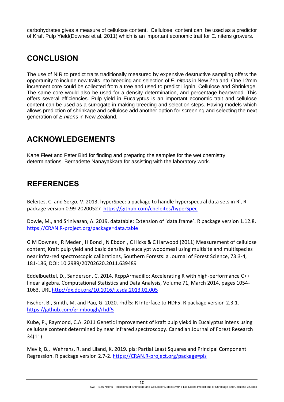<span id="page-11-0"></span>carbohydrates gives a measure of cellulose content. Cellulose content can be used as a predictor of Kraft Pulp Yield(Downes et al. 2011) which is an important economic trait for E. nitens growers.

### **CONCLUSION**

The use of NIR to predict traits traditionally measured by expensive destructive sampling offers the opportunity to include new traits into breeding and selection of *E. nitens* in New Zealand. One 12mm increment core could be collected from a tree and used to predict Lignin, Cellulose and Shrinkage. The same core would also be used for a density determination, and percentage heartwood. This offers several efficiencies. Pulp yield in Eucalyptus is an important economic trait and cellulose content can be used as a surrogate in making breeding and selection steps. Having models which allows prediction of shrinkage and cellulose add another option for screening and selecting the next generation of *E.nitens* in New Zealand.

### <span id="page-11-1"></span>**ACKNOWLEDGEMENTS**

Kane Fleet and Peter Bird for finding and preparing the samples for the wet chemistry determinations. Bernadette Nanayakkara for assisting with the laboratory work.

### <span id="page-11-2"></span>**REFERENCES**

Beleites, C. and Sergo, V. 2013. hyperSpec: a package to handle hyperspectral data sets in R', R package version 0.99-20200527 <https://github.com/cbeleites/hyperSpec>

Dowle, M., and Srinivasan, A. 2019. datatable: Extension of `data.frame`. R package version 1.12.8. [https://CRAN.R-project.org/package=data.table](https://cran.r-project.org/package=data.table)

G M Downes , R Meder , H Bond , N Ebdon , C Hicks & C Harwood (2011) Measurement of cellulose content, Kraft pulp yield and basic density in eucalypt woodmeal using multisite and multispecies near infra-red spectroscopic calibrations, Southern Forests: a Journal of Forest Science, 73:3-4, 181-186, DOI: 10.2989/20702620.2011.639489

Eddelbuettel, D., Sanderson, C. 2014. RcppArmadillo: Accelerating R with high-performance C++ linear algebra. Computational Statistics and Data Analysis, Volume 71, March 2014, pages 1054- 1063. URL <http://dx.doi.org/10.1016/j.csda.2013.02.005>

Fischer, B., Smith, M. and Pau, G. 2020. rhdf5: R Interface to HDF5. R package version 2.3.1. <https://github.com/grimbough/rhdf5>

Kube, P., Raymond, C.A. 2011 Genetic improvement of kraft pulp yiekd in Eucalyptus intens using cellulose content determined by near infrared spectroscopy. Canadian Journal of Forest Research 34(11)

Mevik, B., Wehrens, R. and Liland, K. 2019. pls: Partial Least Squares and Principal Component Regression. R package version 2.7-2. [https://CRAN.R-project.org/package=pls](https://cran.r-project.org/package=pls)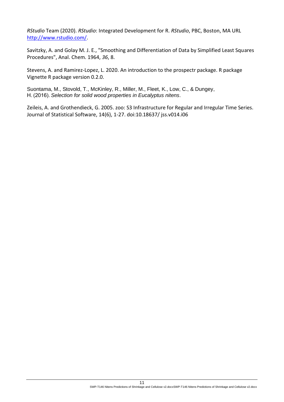*RStudio* Team (2020). *RStudio*: Integrated Development for R. *RStudio*, PBC, Boston, MA URL [http://www.rstudio.com/.](http://www.rstudio.com/)

Savitzky, A. and Golay M. J. E., "Smoothing and Differentiation of Data by Simplified Least Squares Procedures", Anal. Chem. 1964, *36*, 8.

Stevens, A. and Ramirez-Lopez, L. 2020. An introduction to the prospectr package. R package Vignette R package version 0.2.0.

Suontama, M., Stovold, T., McKinley, R., Miller, M., Fleet, K., Low, C., & Dungey, H. (2016). *Selection for solid wood properties in Eucalyptus nitens*.

Zeileis, A. and Grothendieck, G. 2005. zoo: S3 Infrastructure for Regular and Irregular Time Series. Journal of Statistical Software, 14(6), 1-27. doi:10.18637/ jss.v014.i06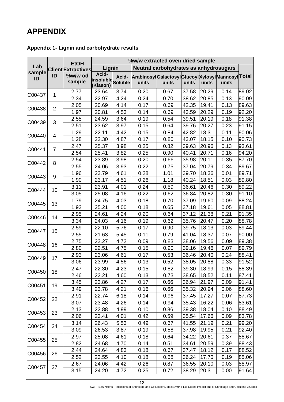## <span id="page-13-0"></span>**APPENDIX**

### <span id="page-13-1"></span>**Appendix 1- Lignin and carbohydrate results**

|        |                | <b>EtOH</b>               | %w/w extracted oven dried sample                 |      |                                                 |       |       |       |       |       |
|--------|----------------|---------------------------|--------------------------------------------------|------|-------------------------------------------------|-------|-------|-------|-------|-------|
| Lab    |                | <b>Client Extractives</b> | Lignin<br>Neutral carbohydrates as anhydrosugars |      |                                                 |       |       |       |       |       |
| sample | ID             | %w/w od                   | Acid-                                            |      | ArabinosylGalactosylGlucoylXylosylMannosylTotal |       |       |       |       |       |
| ID     |                | sample                    | insoluble<br>Soluble                             |      | units                                           | units | units | units | units |       |
|        |                | 2.77                      | 23.64                                            | 3.74 | 0.20                                            | 0.67  | 37.58 | 20.29 | 0.14  | 89.02 |
| C00437 | 1              | 2.34                      | 22.97                                            | 4.24 | 0.24                                            | 0.70  | 38.62 | 20.85 | 0.13  | 90.09 |
|        |                | 2.05                      | 20.69                                            | 4.14 | 0.17                                            | 0.69  | 42.35 | 19.41 | 0.13  | 89.63 |
| C00438 | $\overline{2}$ | 1.97                      | 20.81                                            | 4.53 | 0.14                                            | 0.69  | 43.59 | 20.29 | 0.19  | 92.20 |
|        |                | 2.55                      | 24.59                                            | 3.64 | 0.19                                            | 0.54  | 39.51 | 20.19 | 0.18  | 91.38 |
| C00439 | 3              | 2.51                      | 23.62                                            | 3.97 | 0.15                                            | 0.64  | 39.76 | 20.27 | 0.23  | 91.15 |
|        |                | 1.29                      | 22.11                                            | 4.42 | 0.15                                            | 0.84  | 42.82 | 18.31 | 0.11  | 90.06 |
| C00440 | 4              | 1.28                      | 22.30                                            | 4.87 | 0.17                                            | 0.80  | 43.07 | 18.15 | 0.10  | 90.73 |
|        |                | 2.47                      | 25.37                                            | 3.98 | 0.25                                            | 0.82  | 39.63 | 20.96 | 0.13  | 93.61 |
| C00441 | $\overline{7}$ | 2.54                      | 25.41                                            | 3.82 | 0.25                                            | 0.90  | 40.41 | 20.71 | 0.16  | 94.20 |
|        | 8              | 2.54                      | 23.89                                            | 3.98 | 0.20                                            | 0.66  | 35.98 | 20.11 | 0.35  | 87.70 |
| C00442 |                | 2.55                      | 24.06                                            | 3.93 | 0.22                                            | 0.75  | 37.04 | 20.79 | 0.34  | 89.67 |
|        | 9              | 1.96                      | 23.79                                            | 4.61 | 0.28                                            | 1.01  | 39.70 | 18.36 | 0.01  | 89.71 |
| C00443 |                | 1.90                      | 23.17                                            | 4.51 | 0.26                                            | 1.18  | 40.24 | 18.51 | 0.03  | 89.80 |
| C00444 | 10             | 3.11                      | 23.91                                            | 4.01 | 0.24                                            | 0.59  | 36.61 | 20.46 | 0.30  | 89.22 |
|        |                | 3.05                      | 25.08                                            | 4.16 | 0.22                                            | 0.62  | 36.84 | 20.82 | 0.30  | 91.10 |
| C00445 | 13             | 1.79                      | 24.75                                            | 4.03 | 0.18                                            | 0.70  | 37.09 | 19.60 | 0.09  | 88.24 |
|        |                | 1.92                      | 25.21                                            | 4.00 | 0.18                                            | 0.65  | 37.18 | 19.61 | 0.05  | 88.81 |
| C00446 | 14             | 2.95                      | 24.61                                            | 4.24 | 0.20                                            | 0.64  | 37.12 | 21.38 | 0.21  | 91.35 |
|        |                | 3.34                      | 24.03                                            | 4.16 | 0.19                                            | 0.62  | 35.76 | 20.47 | 0.20  | 88.78 |
| C00447 | 15             | 2.59                      | 22.10                                            | 5.76 | 0.17                                            | 0.90  | 39.75 | 18.13 | 0.03  | 89.44 |
|        |                | 2.55                      | 21.63                                            | 5.45 | 0.11                                            | 0.79  | 41.04 | 18.37 | 0.07  | 90.00 |
| C00448 | 16             | 2.75                      | 23.27                                            | 4.72 | 0.09                                            | 0.83  | 38.06 | 19.56 | 0.09  | 89.38 |
|        |                | 2.80                      | 22.51                                            | 4.75 | 0.15                                            | 0.90  | 39.16 | 19.46 | 0.07  | 89.79 |
| C00449 | 17             | 2.93                      | 23.06                                            | 4.61 | 0.17                                            | 0.53  | 36.46 | 20.40 | 0.24  | 88.41 |
|        |                | 3.06                      | 23.99                                            | 4.56 | 0.13                                            | 0.52  | 38.05 | 20.88 | 0.33  | 91.52 |
| C00450 | 18             | 2.47                      | 22.30                                            | 4.23 | 0.15                                            | 0.82  | 39.30 | 18.99 | 0.15  | 88.39 |
|        |                | 2.46                      | 22.21                                            | 4.60 | 0.13                                            | 0.73  | 38.65 | 18.52 | 0.11  | 87.41 |
| C00451 | 19             | 3.45                      | 23.86                                            | 4.27 | 0.17                                            | 0.66  | 36.94 | 21.97 | 0.09  | 91.41 |
|        |                | 3.49                      | 23.78                                            | 4.21 | 0.16                                            | 0.66  | 35.32 | 20.94 | 0.06  | 88.60 |
| C00452 | 22             | 2.91                      | 22.74                                            | 6.18 | 0.14                                            | 0.96  | 37.45 | 17.27 | 0.07  | 87.73 |
|        |                | 3.07                      | 23.48                                            | 4.26 | 0.14                                            | 0.94  | 35.43 | 16.22 | 0.06  | 83.61 |
| C00453 | 23             | 2.13                      | 22.88                                            | 4.99 | 0.10                                            | 0.86  | 39.38 | 18.04 | 0.10  | 88.49 |
|        |                | 2.06                      | 23.41                                            | 4.01 | 0.42                                            | 0.59  | 35.54 | 17.66 | 0.09  | 83.78 |
| C00454 | 24             | 3.14                      | 26.43                                            | 5.53 | 0.49                                            | 0.67  | 41.55 | 21.19 | 0.21  | 99.20 |
|        |                | 3.09                      | 26.53                                            | 3.87 | 0.19                                            | 0.58  | 37.98 | 19.95 | 0.21  | 92.40 |
| C00455 | 25             | 2.97                      | 25.08                                            | 4.61 | 0.18                                            | 0.64  | 34.22 | 20.61 | 0.37  | 88.67 |
|        |                | 2.82                      | 24.68                                            | 4.70 | 0.14                                            | 0.51  | 34.61 | 20.59 | 0.39  | 88.43 |
| C00456 | 26             | 2.44                      | 24.64                                            | 4.83 | 0.18                                            | 0.67  | 37.47 | 18.12 | 0.17  | 88.52 |
|        |                | 2.52                      | 23.55                                            | 4.10 | 0.18                                            | 0.58  | 36.24 | 17.70 | 0.19  | 85.06 |
| C00457 | 27             | 2.67                      | 24.06                                            | 4.42 | 0.26                                            | 0.87  | 36.55 | 20.10 | 0.03  | 88.97 |
|        |                | 3.15                      | 24.20                                            | 4.72 | 0.25                                            | 0.72  | 38.29 | 20.31 | 0.00  | 91.64 |

12 SWP-T146 Nitens Predictions of Shrinkage and Cellulose v2.docxSWP-T146 Nitens Predictions of Shrinkage and Cellulose v2.docx